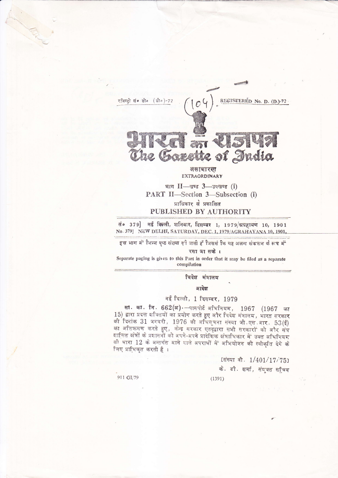

जनाधारण EXTRAORDINARY

भाग  $II$ — खण्ड 3—उपखण्ड (i) PART II-Section 3-Subsection (i) प्राधिकार से प्रकाशित

## PUBLISHED BY AUTHORITY

सं० 379] नई विल्ली, शनिवार, दिसम्बर 1, 1979/श्रग्रहायण 10, 1901 No. 379] NEW DELHI, SATURDAY, DEC. 1, 1979/AGRAHAYANA 10, 1901,

इस भाग में भिन्न पृष्ठ संख्या दी जाती हूँ जिससे कि यह अलग संकलन के रूप में

रखा जा सके।

Separate paging is given to this Part in order that it may be filed as a separate compilation

विदेश मंत्रालय

आदेश

## नई दिल्ली, 1 दिसम्बर, 1979

सा. का. नि. 662(अ) - पासपोर्ट अधिनियम, 1967 (1967 का 15) द्वारा प्रदत्त शक्तियों का प्रयोग करते हुए और विदेश मंत्रालय, भारत सरकार की दिनांक 31 जनवरी, 1976 की अधिसूचना संख्या जी एस आर.  $53(\xi)$ का अतिक्रमण करते हुए, केन्द्र सरकार एतद्द्वारा सभी सरकारों को और संघ शासित क्षेत्रों के प्रशासनों को अपने-अपने प्रादेशिक क्षेत्राधिकार में उक्त अधिनियम की धारा 12 के अन्तर्गत आने वाले अपराधों में अभियोजन की स्वीकृति देने के लिए प्राधिकृत करती है।

 $(1391)$ 

[संख्या वी. 1/401/17/75]

के. डी. शर्मा, संयुक्त सचिव

911 GI/79